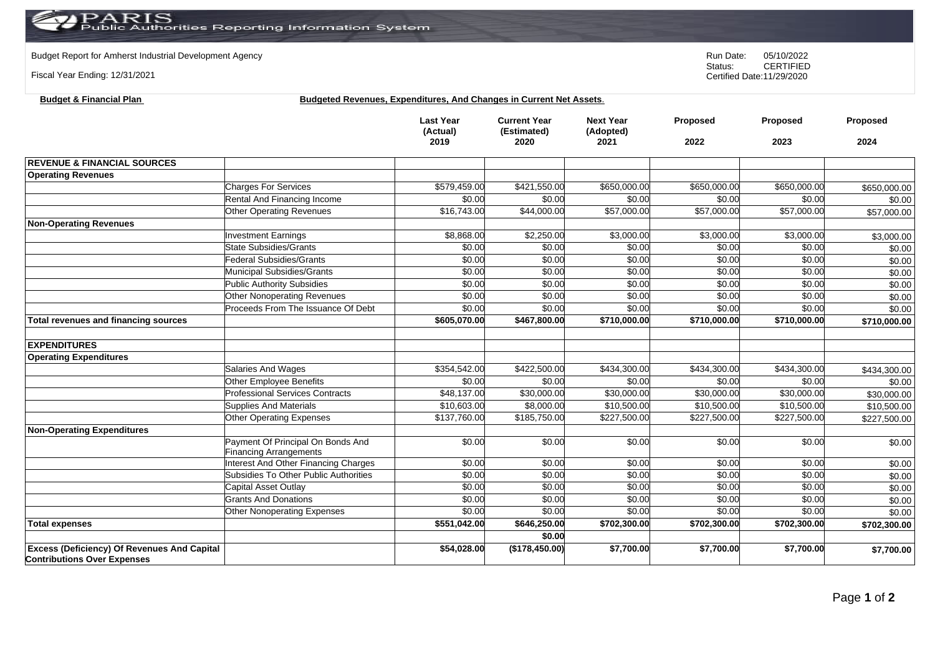## Budget Report for Amherst Industrial Development Agency<br>
Status: CERTIFIED

Fiscal Year Ending: 12/31/2021

**Budget & Financial Plan** 

CERTIFIED Certified Date:11/29/2020

| <b>Budgeted Revenues, Expenditures, And Changes in Current Net Assets.</b> |  |  |
|----------------------------------------------------------------------------|--|--|
|                                                                            |  |  |

|                                                    |                                                                               | <b>Last Year</b><br>(Actual)<br>2019 | <b>Current Year</b><br>(Estimated)<br>2020 | <b>Next Year</b><br>(Adopted)<br>2021 | Proposed<br>2022 | <b>Proposed</b><br>2023 | Proposed<br>2024 |
|----------------------------------------------------|-------------------------------------------------------------------------------|--------------------------------------|--------------------------------------------|---------------------------------------|------------------|-------------------------|------------------|
| <b>REVENUE &amp; FINANCIAL SOURCES</b>             |                                                                               |                                      |                                            |                                       |                  |                         |                  |
| <b>Operating Revenues</b>                          |                                                                               |                                      |                                            |                                       |                  |                         |                  |
|                                                    | <b>Charges For Services</b>                                                   | \$579,459.00                         | \$421,550.00                               | \$650,000.00                          | \$650,000.00     | \$650,000.00            | \$650,000.00     |
|                                                    | Rental And Financing Income                                                   | \$0.00                               | \$0.00                                     | \$0.00                                | \$0.00           | \$0.00                  | \$0.00           |
|                                                    | <b>Other Operating Revenues</b>                                               | \$16,743.00                          | \$44,000.00                                | \$57,000.00                           | \$57,000.00      | \$57,000.00             | \$57,000.00      |
| <b>Non-Operating Revenues</b>                      |                                                                               |                                      |                                            |                                       |                  |                         |                  |
|                                                    | <b>Investment Earnings</b>                                                    | \$8,868.00                           | \$2,250.00                                 | \$3,000.00                            | \$3,000.00       | \$3,000.00              | \$3,000.00       |
|                                                    | <b>State Subsidies/Grants</b>                                                 | \$0.00                               | \$0.00                                     | \$0.00                                | \$0.00           | \$0.00                  | \$0.00           |
|                                                    | <b>Federal Subsidies/Grants</b>                                               | \$0.00                               | \$0.00                                     | \$0.00                                | \$0.00           | \$0.00                  | \$0.00           |
|                                                    | Municipal Subsidies/Grants                                                    | \$0.00                               | \$0.00                                     | \$0.00                                | \$0.00           | \$0.00                  | \$0.00           |
|                                                    | <b>Public Authority Subsidies</b>                                             | \$0.00                               | \$0.00                                     | \$0.00                                | \$0.00           | \$0.00                  | \$0.00           |
|                                                    | Other Nonoperating Revenues                                                   | \$0.00                               | \$0.00                                     | \$0.00                                | \$0.00           | \$0.00                  | \$0.00           |
|                                                    | Proceeds From The Issuance Of Debt                                            | \$0.00                               | \$0.00                                     | \$0.00                                | \$0.00           | \$0.00                  | \$0.00           |
| Total revenues and financing sources               |                                                                               | \$605,070.00                         | \$467,800.00                               | \$710,000.00                          | \$710,000.00     | \$710,000.00            | \$710,000.00     |
|                                                    |                                                                               |                                      |                                            |                                       |                  |                         |                  |
| <b>EXPENDITURES</b>                                |                                                                               |                                      |                                            |                                       |                  |                         |                  |
| <b>Operating Expenditures</b>                      |                                                                               |                                      |                                            |                                       |                  |                         |                  |
|                                                    | Salaries And Wages                                                            | \$354,542.00                         | \$422,500.00                               | \$434,300.00                          | \$434,300.00     | \$434,300.00            | \$434,300.00     |
|                                                    | Other Employee Benefits                                                       | \$0.00                               | \$0.00                                     | \$0.00                                | \$0.00           | \$0.00                  | \$0.00           |
|                                                    | <b>Professional Services Contracts</b>                                        | \$48,137.00                          | $\sqrt{$30,000.00}$                        | \$30,000.00                           | \$30,000.00      | $\overline{$30,000.00}$ | \$30,000.00      |
|                                                    | <b>Supplies And Materials</b>                                                 | \$10,603.00                          | \$8,000.00                                 | \$10,500.00                           | \$10,500.00      | \$10,500.00             | \$10,500.00      |
|                                                    | Other Operating Expenses                                                      | \$137,760.00                         | \$185,750.00                               | \$227,500.00                          | \$227,500.00     | \$227,500.00            | \$227,500.00     |
| Non-Operating Expenditures                         |                                                                               |                                      |                                            |                                       |                  |                         |                  |
|                                                    | Payment Of Principal On Bonds And                                             | \$0.00                               | \$0.00                                     | \$0.00                                | \$0.00           | \$0.00                  | \$0.00           |
|                                                    | <b>Financing Arrangements</b>                                                 |                                      |                                            |                                       |                  |                         |                  |
|                                                    | Interest And Other Financing Charges<br>Subsidies To Other Public Authorities | \$0.00<br>\$0.00                     | \$0.00                                     | \$0.00<br>\$0.00                      | \$0.00<br>\$0.00 | \$0.00                  | \$0.00           |
|                                                    |                                                                               |                                      | \$0.00                                     |                                       | \$0.00           | \$0.00                  | \$0.00           |
|                                                    | Capital Asset Outlay<br><b>Grants And Donations</b>                           | \$0.00<br>\$0.00                     | \$0.00<br>\$0.00                           | \$0.00<br>\$0.00                      | \$0.00           | \$0.00<br>\$0.00        | \$0.00           |
|                                                    | <b>Other Nonoperating Expenses</b>                                            | \$0.00                               | \$0.00                                     | \$0.00                                | \$0.00           | \$0.00                  | \$0.00           |
|                                                    |                                                                               | \$551,042.00                         | \$646,250.00                               |                                       |                  |                         | \$0.00           |
| <b>Total expenses</b>                              |                                                                               |                                      | \$0.00                                     | \$702,300.00                          | \$702,300.00     | \$702,300.00            | \$702,300.00     |
| <b>Excess (Deficiency) Of Revenues And Capital</b> |                                                                               | \$54,028.00                          | (\$178,450.00)                             | \$7,700.00                            | \$7,700.00       | \$7,700.00              | \$7,700.00       |
| <b>Contributions Over Expenses</b>                 |                                                                               |                                      |                                            |                                       |                  |                         |                  |